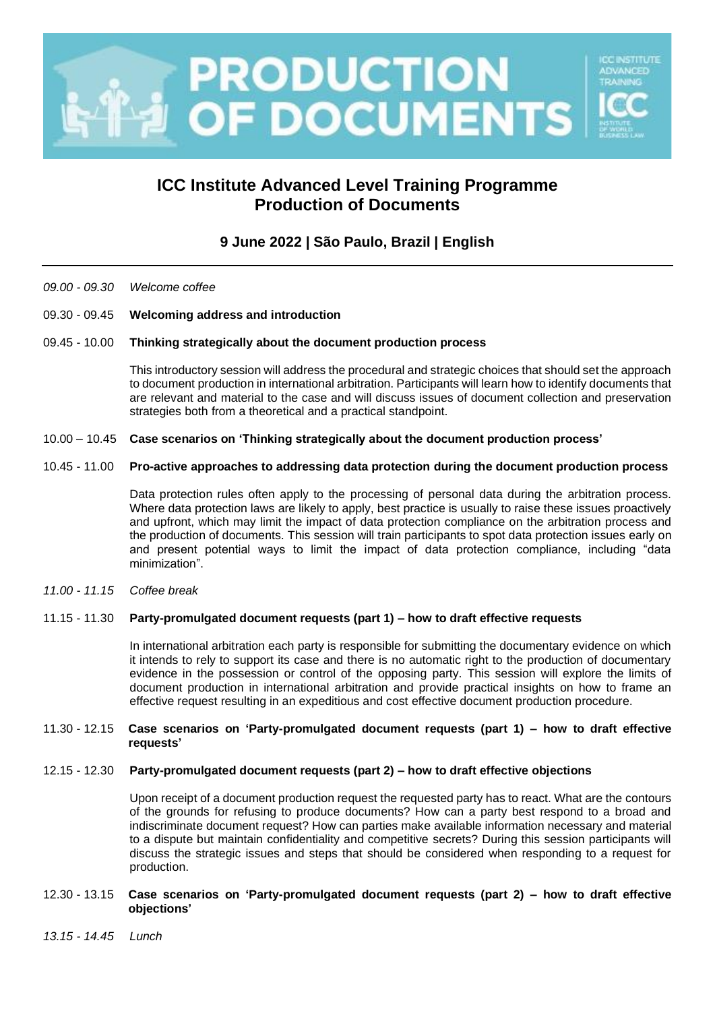

# **ICC Institute Advanced Level Training Programme Production of Documents**

# **9 June 2022 | São Paulo, Brazil | English**

#### *09.00 - 09.30 Welcome coffee*

## 09.30 - 09.45 **Welcoming address and introduction**

#### 09.45 - 10.00 **Thinking strategically about the document production process**

This introductory session will address the procedural and strategic choices that should set the approach to document production in international arbitration. Participants will learn how to identify documents that are relevant and material to the case and will discuss issues of document collection and preservation strategies both from a theoretical and a practical standpoint.

#### 10.00 – 10.45 **Case scenarios on 'Thinking strategically about the document production process'**

# 10.45 - 11.00 **Pro-active approaches to addressing data protection during the document production process**

Data protection rules often apply to the processing of personal data during the arbitration process. Where data protection laws are likely to apply, best practice is usually to raise these issues proactively and upfront, which may limit the impact of data protection compliance on the arbitration process and the production of documents. This session will train participants to spot data protection issues early on and present potential ways to limit the impact of data protection compliance, including "data minimization".

#### *11.00 - 11.15 Coffee break*

## 11.15 - 11.30 **Party-promulgated document requests (part 1) – how to draft effective requests**

In international arbitration each party is responsible for submitting the documentary evidence on which it intends to rely to support its case and there is no automatic right to the production of documentary evidence in the possession or control of the opposing party. This session will explore the limits of document production in international arbitration and provide practical insights on how to frame an effective request resulting in an expeditious and cost effective document production procedure.

#### 11.30 - 12.15 **Case scenarios on 'Party-promulgated document requests (part 1) – how to draft effective requests'**

#### 12.15 - 12.30 **Party-promulgated document requests (part 2) – how to draft effective objections**

Upon receipt of a document production request the requested party has to react. What are the contours of the grounds for refusing to produce documents? How can a party best respond to a broad and indiscriminate document request? How can parties make available information necessary and material to a dispute but maintain confidentiality and competitive secrets? During this session participants will discuss the strategic issues and steps that should be considered when responding to a request for production.

#### 12.30 - 13.15 **Case scenarios on 'Party-promulgated document requests (part 2) – how to draft effective objections'**

*13.15 - 14.45 Lunch*